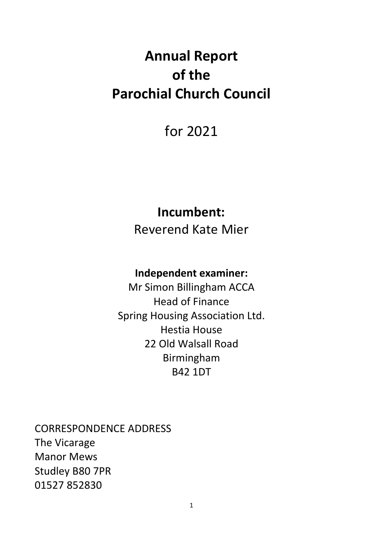# **Annual Report of the Parochial Church Council**

## for 2021

### **Incumbent:**

Reverend Kate Mier

### **Independent examiner:**

Mr Simon Billingham ACCA Head of Finance Spring Housing Association Ltd. Hestia House 22 Old Walsall Road Birmingham B42 1DT

CORRESPONDENCE ADDRESS The Vicarage Manor Mews Studley B80 7PR 01527 852830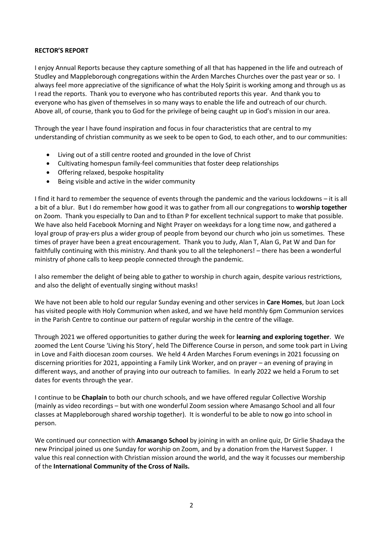#### **RECTOR'S REPORT**

I enjoy Annual Reports because they capture something of all that has happened in the life and outreach of Studley and Mappleborough congregations within the Arden Marches Churches over the past year or so. I always feel more appreciative of the significance of what the Holy Spirit is working among and through us as I read the reports. Thank you to everyone who has contributed reports this year. And thank you to everyone who has given of themselves in so many ways to enable the life and outreach of our church. Above all, of course, thank you to God for the privilege of being caught up in God's mission in our area.

Through the year I have found inspiration and focus in four characteristics that are central to my understanding of christian community as we seek to be open to God, to each other, and to our communities:

- Living out of a still centre rooted and grounded in the love of Christ
- Cultivating homespun family-feel communities that foster deep relationships
- Offering relaxed, bespoke hospitality
- Being visible and active in the wider community

I find it hard to remember the sequence of events through the pandemic and the various lockdowns – it is all a bit of a blur. But I do remember how good it was to gather from all our congregations to **worship together** on Zoom. Thank you especially to Dan and to Ethan P for excellent technical support to make that possible. We have also held Facebook Morning and Night Prayer on weekdays for a long time now, and gathered a loyal group of pray-ers plus a wider group of people from beyond our church who join us sometimes. These times of prayer have been a great encouragement. Thank you to Judy, Alan T, Alan G, Pat W and Dan for faithfully continuing with this ministry. And thank you to all the telephoners! – there has been a wonderful ministry of phone calls to keep people connected through the pandemic.

I also remember the delight of being able to gather to worship in church again, despite various restrictions, and also the delight of eventually singing without masks!

We have not been able to hold our regular Sunday evening and other services in **Care Homes**, but Joan Lock has visited people with Holy Communion when asked, and we have held monthly 6pm Communion services in the Parish Centre to continue our pattern of regular worship in the centre of the village.

Through 2021 we offered opportunities to gather during the week for **learning and exploring together**. We zoomed the Lent Course 'Living his Story', held The Difference Course in person, and some took part in Living in Love and Faith diocesan zoom courses. We held 4 Arden Marches Forum evenings in 2021 focussing on discerning priorities for 2021, appointing a Family Link Worker, and on prayer – an evening of praying in different ways, and another of praying into our outreach to families. In early 2022 we held a Forum to set dates for events through the year.

I continue to be **Chaplain** to both our church schools, and we have offered regular Collective Worship (mainly as video recordings – but with one wonderful Zoom session where Amasango School and all four classes at Mappleborough shared worship together). It is wonderful to be able to now go into school in person.

We continued our connection with **Amasango School** by joining in with an online quiz, Dr Girlie Shadaya the new Principal joined us one Sunday for worship on Zoom, and by a donation from the Harvest Supper. I value this real connection with Christian mission around the world, and the way it focusses our membership of the **International Community of the Cross of Nails.**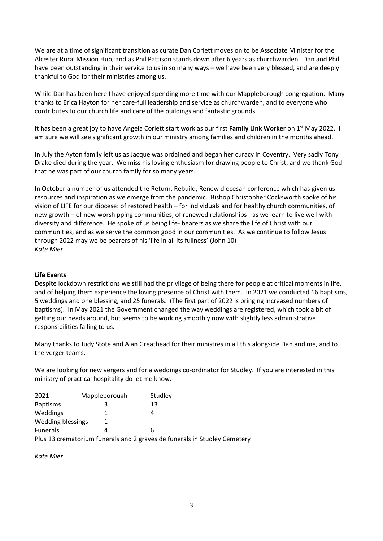We are at a time of significant transition as curate Dan Corlett moves on to be Associate Minister for the Alcester Rural Mission Hub, and as Phil Pattison stands down after 6 years as churchwarden. Dan and Phil have been outstanding in their service to us in so many ways – we have been very blessed, and are deeply thankful to God for their ministries among us.

While Dan has been here I have enjoyed spending more time with our Mappleborough congregation. Many thanks to Erica Hayton for her care-full leadership and service as churchwarden, and to everyone who contributes to our church life and care of the buildings and fantastic grounds.

It has been a great joy to have Angela Corlett start work as our first **Family Link Worker** on 1st May 2022. I am sure we will see significant growth in our ministry among families and children in the months ahead.

In July the Ayton family left us as Jacque was ordained and began her curacy in Coventry. Very sadly Tony Drake died during the year. We miss his loving enthusiasm for drawing people to Christ, and we thank God that he was part of our church family for so many years.

In October a number of us attended the Return, Rebuild, Renew diocesan conference which has given us resources and inspiration as we emerge from the pandemic. Bishop Christopher Cocksworth spoke of his vision of LIFE for our diocese: of restored health – for individuals and for healthy church communities, of new growth – of new worshipping communities, of renewed relationships - as we learn to live well with diversity and difference. He spoke of us being life- bearers as we share the life of Christ with our communities, and as we serve the common good in our communities. As we continue to follow Jesus through 2022 may we be bearers of his 'life in all its fullness' (John 10) *Kate Mier*

#### **Life Events**

Despite lockdown restrictions we still had the privilege of being there for people at critical moments in life, and of helping them experience the loving presence of Christ with them. In 2021 we conducted 16 baptisms, 5 weddings and one blessing, and 25 funerals. (The first part of 2022 is bringing increased numbers of baptisms). In May 2021 the Government changed the way weddings are registered, which took a bit of getting our heads around, but seems to be working smoothly now with slightly less administrative responsibilities falling to us.

Many thanks to Judy Stote and Alan Greathead for their ministres in all this alongside Dan and me, and to the verger teams.

We are looking for new vergers and for a weddings co-ordinator for Studley. If you are interested in this ministry of practical hospitality do let me know.

| 2021                     | Mappleborough                                                         | Studley |  |
|--------------------------|-----------------------------------------------------------------------|---------|--|
| <b>Baptisms</b>          |                                                                       | 13      |  |
| Weddings                 |                                                                       |         |  |
| <b>Wedding blessings</b> |                                                                       |         |  |
| <b>Funerals</b>          |                                                                       | h       |  |
|                          | ni a 40 da da da 10 febrer 200 da 10 da 10 da 11 febrer 201 da 201 da |         |  |

Plus 13 crematorium funerals and 2 graveside funerals in Studley Cemetery

*Kate Mier*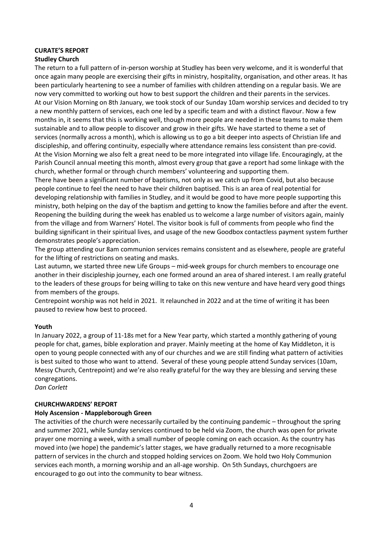#### **CURATE'S REPORT**

#### **Studley Church**

The return to a full pattern of in-person worship at Studley has been very welcome, and it is wonderful that once again many people are exercising their gifts in ministry, hospitality, organisation, and other areas. It has been particularly heartening to see a number of families with children attending on a regular basis. We are now very committed to working out how to best support the children and their parents in the services. At our Vision Morning on 8th January, we took stock of our Sunday 10am worship services and decided to try a new monthly pattern of services, each one led by a specific team and with a distinct flavour. Now a few months in, it seems that this is working well, though more people are needed in these teams to make them sustainable and to allow people to discover and grow in their gifts. We have started to theme a set of services (normally across a month), which is allowing us to go a bit deeper into aspects of Christian life and discipleship, and offering continuity, especially where attendance remains less consistent than pre-covid. At the Vision Morning we also felt a great need to be more integrated into village life. Encouragingly, at the Parish Council annual meeting this month, almost every group that gave a report had some linkage with the church, whether formal or through church members' volunteering and supporting them.

There have been a significant number of baptisms, not only as we catch up from Covid, but also because people continue to feel the need to have their children baptised. This is an area of real potential for developing relationship with families in Studley, and it would be good to have more people supporting this ministry, both helping on the day of the baptism and getting to know the families before and after the event. Reopening the building during the week has enabled us to welcome a large number of visitors again, mainly from the village and from Warners' Hotel. The visitor book is full of comments from people who find the building significant in their spiritual lives, and usage of the new Goodbox contactless payment system further demonstrates people's appreciation.

The group attending our 8am communion services remains consistent and as elsewhere, people are grateful for the lifting of restrictions on seating and masks.

Last autumn, we started three new Life Groups – mid-week groups for church members to encourage one another in their discipleship journey, each one formed around an area of shared interest. I am really grateful to the leaders of these groups for being willing to take on this new venture and have heard very good things from members of the groups.

Centrepoint worship was not held in 2021. It relaunched in 2022 and at the time of writing it has been paused to review how best to proceed.

#### **Youth**

In January 2022, a group of 11-18s met for a New Year party, which started a monthly gathering of young people for chat, games, bible exploration and prayer. Mainly meeting at the home of Kay Middleton, it is open to young people connected with any of our churches and we are still finding what pattern of activities is best suited to those who want to attend. Several of these young people attend Sunday services (10am, Messy Church, Centrepoint) and we're also really grateful for the way they are blessing and serving these congregations.

*Dan Corlett*

#### **CHURCHWARDENS' REPORT**

#### **Holy Ascension - Mappleborough Green**

The activities of the church were necessarily curtailed by the continuing pandemic – throughout the spring and summer 2021, while Sunday services continued to be held via Zoom, the church was open for private prayer one morning a week, with a small number of people coming on each occasion. As the country has moved into (we hope) the pandemic's latter stages, we have gradually returned to a more recognisable pattern of services in the church and stopped holding services on Zoom. We hold two Holy Communion services each month, a morning worship and an all-age worship. On 5th Sundays, churchgoers are encouraged to go out into the community to bear witness.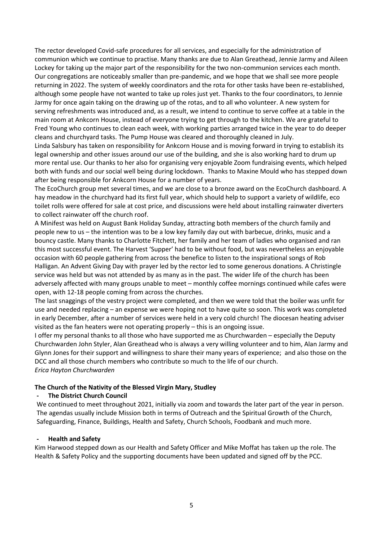The rector developed Covid-safe procedures for all services, and especially for the administration of communion which we continue to practise. Many thanks are due to Alan Greathead, Jennie Jarmy and Aileen Lockey for taking up the major part of the responsibility for the two non-communion services each month. Our congregations are noticeably smaller than pre-pandemic, and we hope that we shall see more people returning in 2022. The system of weekly coordinators and the rota for other tasks have been re-established, although some people have not wanted to take up roles just yet. Thanks to the four coordinators, to Jennie Jarmy for once again taking on the drawing up of the rotas, and to all who volunteer. A new system for serving refreshments was introduced and, as a result, we intend to continue to serve coffee at a table in the main room at Ankcorn House, instead of everyone trying to get through to the kitchen. We are grateful to Fred Young who continues to clean each week, with working parties arranged twice in the year to do deeper cleans and churchyard tasks. The Pump House was cleared and thoroughly cleaned in July.

Linda Salsbury has taken on responsibility for Ankcorn House and is moving forward in trying to establish its legal ownership and other issues around our use of the building, and she is also working hard to drum up more rental use. Our thanks to her also for organising very enjoyable Zoom fundraising events, which helped both with funds and our social well being during lockdown. Thanks to Maxine Mould who has stepped down after being responsible for Ankcorn House for a number of years.

The EcoChurch group met several times, and we are close to a bronze award on the EcoChurch dashboard. A hay meadow in the churchyard had its first full year, which should help to support a variety of wildlife, eco toilet rolls were offered for sale at cost price, and discussions were held about installing rainwater diverters to collect rainwater off the church roof.

A Minifest was held on August Bank Holiday Sunday, attracting both members of the church family and people new to us – the intention was to be a low key family day out with barbecue, drinks, music and a bouncy castle. Many thanks to Charlotte Fitchett, her family and her team of ladies who organised and ran this most successful event. The Harvest 'Supper' had to be without food, but was nevertheless an enjoyable occasion with 60 people gathering from across the benefice to listen to the inspirational songs of Rob Halligan. An Advent Giving Day with prayer led by the rector led to some generous donations. A Christingle service was held but was not attended by as many as in the past. The wider life of the church has been adversely affected with many groups unable to meet – monthly coffee mornings continued while cafes were open, with 12-18 people coming from across the churches.

The last snaggings of the vestry project were completed, and then we were told that the boiler was unfit for use and needed replacing – an expense we were hoping not to have quite so soon. This work was completed in early December, after a number of services were held in a very cold church! The diocesan heating adviser visited as the fan heaters were not operating properly – this is an ongoing issue.

I offer my personal thanks to all those who have supported me as Churchwarden – especially the Deputy Churchwarden John Styler, Alan Greathead who is always a very willing volunteer and to him, Alan Jarmy and Glynn Jones for their support and willingness to share their many years of experience; and also those on the DCC and all those church members who contribute so much to the life of our church. *Erica Hayton Churchwarden*

### **The Church of the Nativity of the Blessed Virgin Mary, Studley**

#### **- The District Church Council**

We continued to meet throughout 2021, initially via zoom and towards the later part of the year in person. The agendas usually include Mission both in terms of Outreach and the Spiritual Growth of the Church, Safeguarding, Finance, Buildings, Health and Safety, Church Schools, Foodbank and much more.

#### **- Health and Safety**

Kim Harwood stepped down as our Health and Safety Officer and Mike Moffat has taken up the role. The Health & Safety Policy and the supporting documents have been updated and signed off by the PCC.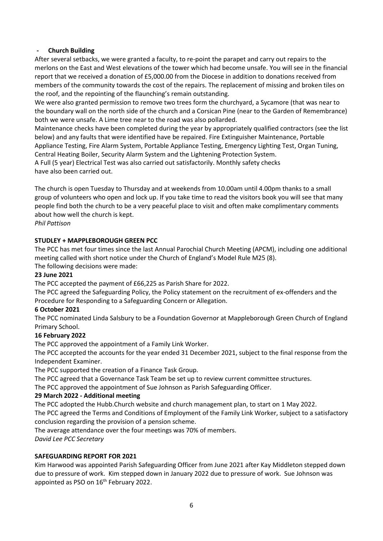#### **- Church Building**

After several setbacks, we were granted a faculty, to re-point the parapet and carry out repairs to the merlons on the East and West elevations of the tower which had become unsafe. You will see in the financial report that we received a donation of £5,000.00 from the Diocese in addition to donations received from members of the community towards the cost of the repairs. The replacement of missing and broken tiles on the roof, and the repointing of the flaunching's remain outstanding.

We were also granted permission to remove two trees form the churchyard, a Sycamore (that was near to the boundary wall on the north side of the church and a Corsican Pine (near to the Garden of Remembrance) both we were unsafe. A Lime tree near to the road was also pollarded.

Maintenance checks have been completed during the year by appropriately qualified contractors (see the list below) and any faults that were identified have be repaired. Fire Extinguisher Maintenance, Portable Appliance Testing, Fire Alarm System, Portable Appliance Testing, Emergency Lighting Test, Organ Tuning, Central Heating Boiler, Security Alarm System and the Lightening Protection System.

A Full (5 year) Electrical Test was also carried out satisfactorily. Monthly safety checks have also been carried out.

The church is open Tuesday to Thursday and at weekends from 10.00am until 4.00pm thanks to a small group of volunteers who open and lock up. If you take time to read the visitors book you will see that many people find both the church to be a very peaceful place to visit and often make complimentary comments about how well the church is kept.

*Phil Pattison*

#### **STUDLEY + MAPPLEBOROUGH GREEN PCC**

The PCC has met four times since the last Annual Parochial Church Meeting (APCM), including one additional meeting called with short notice under the Church of England's Model Rule M25 (8).

The following decisions were made:

#### **23 June 2021**

The PCC accepted the payment of £66,225 as Parish Share for 2022.

The PCC agreed the Safeguarding Policy, the Policy statement on the recruitment of ex-offenders and the Procedure for Responding to a Safeguarding Concern or Allegation.

#### **6 October 2021**

The PCC nominated Linda Salsbury to be a Foundation Governor at Mappleborough Green Church of England Primary School.

#### **16 February 2022**

The PCC approved the appointment of a Family Link Worker.

The PCC accepted the accounts for the year ended 31 December 2021, subject to the final response from the Independent Examiner.

The PCC supported the creation of a Finance Task Group.

The PCC agreed that a Governance Task Team be set up to review current committee structures.

The PCC approved the appointment of Sue Johnson as Parish Safeguarding Officer.

#### **29 March 2022 - Additional meeting**

The PCC adopted the Hubb.Church website and church management plan, to start on 1 May 2022. The PCC agreed the Terms and Conditions of Employment of the Family Link Worker, subject to a satisfactory conclusion regarding the provision of a pension scheme.

The average attendance over the four meetings was 70% of members.

*David Lee PCC Secretary*

#### **SAFEGUARDING REPORT FOR 2021**

Kim Harwood was appointed Parish Safeguarding Officer from June 2021 after Kay Middleton stepped down due to pressure of work. Kim stepped down in January 2022 due to pressure of work. Sue Johnson was appointed as PSO on 16<sup>th</sup> February 2022.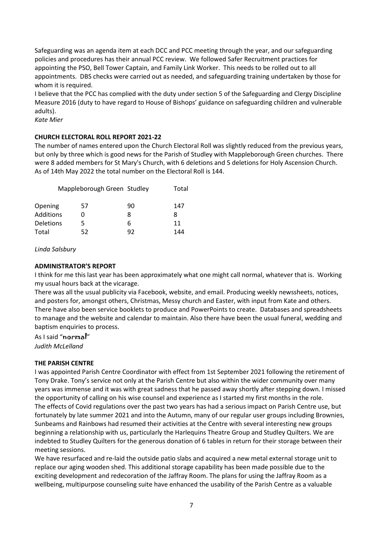Safeguarding was an agenda item at each DCC and PCC meeting through the year, and our safeguarding policies and procedures has their annual PCC review. We followed Safer Recruitment practices for appointing the PSO, Bell Tower Captain, and Family Link Worker. This needs to be rolled out to all appointments. DBS checks were carried out as needed, and safeguarding training undertaken by those for whom it is required.

I believe that the PCC has complied with the duty under section 5 of the Safeguarding and Clergy Discipline Measure 2016 (duty to have regard to House of Bishops' guidance on safeguarding children and vulnerable adults).

*Kate Mier*

#### **CHURCH ELECTORAL ROLL REPORT 2021-22**

The number of names entered upon the Church Electoral Roll was slightly reduced from the previous years, but only by three which is good news for the Parish of Studley with Mappleborough Green churches. There were 8 added members for St Mary's Church, with 6 deletions and 5 deletions for Holy Ascension Church. As of 14th May 2022 the total number on the Electoral Roll is 144.

|                  | Mappleborough Green Studley |    | Total |
|------------------|-----------------------------|----|-------|
| Opening          | 57                          | 90 | 147   |
| <b>Additions</b> | 0                           | 8  | 8     |
| <b>Deletions</b> | 5                           | 6  | 11    |
| Total            | 52                          | 92 | 144   |

*Linda Salsbury*

#### **ADMINISTRATOR'S REPORT**

I think for me this last year has been approximately what one might call normal, whatever that is. Working my usual hours back at the vicarage.

There was all the usual publicity via Facebook, website, and email. Producing weekly newssheets, notices, and posters for, amongst others, Christmas, Messy church and Easter, with input from Kate and others. There have also been service booklets to produce and PowerPoints to create. Databases and spreadsheets to manage and the website and calendar to maintain. Also there have been the usual funeral, wedding and baptism enquiries to process.

As I said "normal" *Judith McLelland*

#### **THE PARISH CENTRE**

I was appointed Parish Centre Coordinator with effect from 1st September 2021 following the retirement of Tony Drake. Tony's service not only at the Parish Centre but also within the wider community over many years was immense and it was with great sadness that he passed away shortly after stepping down. I missed the opportunity of calling on his wise counsel and experience as I started my first months in the role. The effects of Covid regulations over the past two years has had a serious impact on Parish Centre use, but fortunately by late summer 2021 and into the Autumn, many of our regular user groups including Brownies, Sunbeams and Rainbows had resumed their activities at the Centre with several interesting new groups beginning a relationship with us, particularly the Harlequins Theatre Group and Studley Quilters. We are indebted to Studley Quilters for the generous donation of 6 tables in return for their storage between their meeting sessions.

We have resurfaced and re-laid the outside patio slabs and acquired a new metal external storage unit to replace our aging wooden shed. This additional storage capability has been made possible due to the exciting development and redecoration of the Jaffray Room. The plans for using the Jaffray Room as a wellbeing, multipurpose counseling suite have enhanced the usability of the Parish Centre as a valuable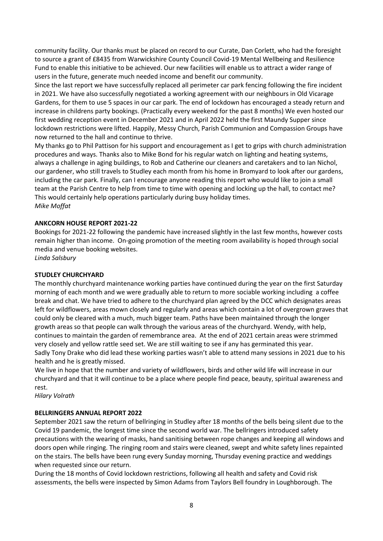community facility. Our thanks must be placed on record to our Curate, Dan Corlett, who had the foresight to source a grant of £8435 from Warwickshire County Council Covid-19 Mental Wellbeing and Resilience Fund to enable this initiative to be achieved. Our new facilities will enable us to attract a wider range of users in the future, generate much needed income and benefit our community.

Since the last report we have successfully replaced all perimeter car park fencing following the fire incident in 2021. We have also successfully negotiated a working agreement with our neighbours in Old Vicarage Gardens, for them to use 5 spaces in our car park. The end of lockdown has encouraged a steady return and increase in childrens party bookings. (Practically every weekend for the past 8 months) We even hosted our first wedding reception event in December 2021 and in April 2022 held the first Maundy Supper since lockdown restrictions were lifted. Happily, Messy Church, Parish Communion and Compassion Groups have now returned to the hall and continue to thrive.

My thanks go to Phil Pattison for his support and encouragement as I get to grips with church administration procedures and ways. Thanks also to Mike Bond for his regular watch on lighting and heating systems, always a challenge in aging buildings, to Rob and Catherine our cleaners and caretakers and to Ian Nichol, our gardener, who still travels to Studley each month from his home in Bromyard to look after our gardens, including the car park. Finally, can I encourage anyone reading this report who would like to join a small team at the Parish Centre to help from time to time with opening and locking up the hall, to contact me? This would certainly help operations particularly during busy holiday times. *Mike Moffat*

#### **ANKCORN HOUSE REPORT 2021-22**

Bookings for 2021-22 following the pandemic have increased slightly in the last few months, however costs remain higher than income. On-going promotion of the meeting room availability is hoped through social media and venue booking websites.

*Linda Salsbury*

#### **STUDLEY CHURCHYARD**

The monthly churchyard maintenance working parties have continued during the year on the first Saturday morning of each month and we were gradually able to return to more sociable working including a coffee break and chat. We have tried to adhere to the churchyard plan agreed by the DCC which designates areas left for wildflowers, areas mown closely and regularly and areas which contain a lot of overgrown graves that could only be cleared with a much, much bigger team. Paths have been maintained through the longer growth areas so that people can walk through the various areas of the churchyard. Wendy, with help, continues to maintain the garden of remembrance area. At the end of 2021 certain areas were strimmed very closely and yellow rattle seed set. We are still waiting to see if any has germinated this year. Sadly Tony Drake who did lead these working parties wasn't able to attend many sessions in 2021 due to his health and he is greatly missed.

We live in hope that the number and variety of wildflowers, birds and other wild life will increase in our churchyard and that it will continue to be a place where people find peace, beauty, spiritual awareness and rest.

*Hilary Volrath*

#### **BELLRINGERS ANNUAL REPORT 2022**

September 2021 saw the return of bellringing in Studley after 18 months of the bells being silent due to the Covid 19 pandemic, the longest time since the second world war. The bellringers introduced safety precautions with the wearing of masks, hand sanitising between rope changes and keeping all windows and doors open while ringing. The ringing room and stairs were cleaned, swept and white safety lines repainted on the stairs. The bells have been rung every Sunday morning, Thursday evening practice and weddings when requested since our return.

During the 18 months of Covid lockdown restrictions, following all health and safety and Covid risk assessments, the bells were inspected by Simon Adams from Taylors Bell foundry in Loughborough. The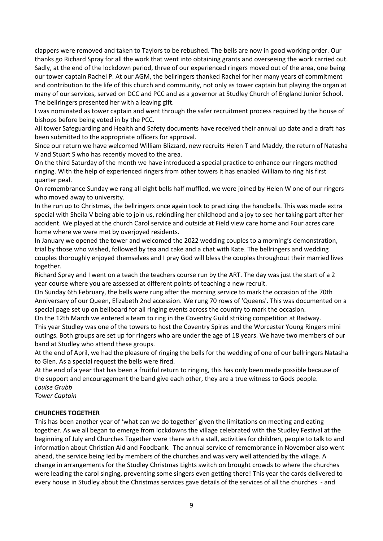clappers were removed and taken to Taylors to be rebushed. The bells are now in good working order. Our thanks go Richard Spray for all the work that went into obtaining grants and overseeing the work carried out. Sadly, at the end of the lockdown period, three of our experienced ringers moved out of the area, one being our tower captain Rachel P. At our AGM, the bellringers thanked Rachel for her many years of commitment and contribution to the life of this church and community, not only as tower captain but playing the organ at many of our services, served on DCC and PCC and as a governor at Studley Church of England Junior School. The bellringers presented her with a leaving gift.

I was nominated as tower captain and went through the safer recruitment process required by the house of bishops before being voted in by the PCC.

All tower Safeguarding and Health and Safety documents have received their annual up date and a draft has been submitted to the appropriate officers for approval.

Since our return we have welcomed William Blizzard, new recruits Helen T and Maddy, the return of Natasha V and Stuart S who has recently moved to the area.

On the third Saturday of the month we have introduced a special practice to enhance our ringers method ringing. With the help of experienced ringers from other towers it has enabled William to ring his first quarter peal.

On remembrance Sunday we rang all eight bells half muffled, we were joined by Helen W one of our ringers who moved away to university.

In the run up to Christmas, the bellringers once again took to practicing the handbells. This was made extra special with Sheila V being able to join us, rekindling her childhood and a joy to see her taking part after her accident. We played at the church Carol service and outside at Field view care home and Four acres care home where we were met by overjoyed residents.

In January we opened the tower and welcomed the 2022 wedding couples to a morning's demonstration, trial by those who wished, followed by tea and cake and a chat with Kate. The bellringers and wedding couples thoroughly enjoyed themselves and I pray God will bless the couples throughout their married lives together.

Richard Spray and I went on a teach the teachers course run by the ART. The day was just the start of a 2 year course where you are assessed at different points of teaching a new recruit.

On Sunday 6th February, the bells were rung after the morning service to mark the occasion of the 70th Anniversary of our Queen, Elizabeth 2nd accession. We rung 70 rows of 'Queens'. This was documented on a special page set up on bellboard for all ringing events across the country to mark the occasion.

On the 12th March we entered a team to ring in the Coventry Guild striking competition at Radway. This year Studley was one of the towers to host the Coventry Spires and the Worcester Young Ringers mini outings. Both groups are set up for ringers who are under the age of 18 years. We have two members of our band at Studley who attend these groups.

At the end of April, we had the pleasure of ringing the bells for the wedding of one of our bellringers Natasha to Glen. As a special request the bells were fired.

At the end of a year that has been a fruitful return to ringing, this has only been made possible because of the support and encouragement the band give each other, they are a true witness to Gods people. *Louise Grubb*

*Tower Captain*

#### **CHURCHES TOGETHER**

This has been another year of 'what can we do together' given the limitations on meeting and eating together. As we all began to emerge from lockdowns the village celebrated with the Studley Festival at the beginning of July and Churches Together were there with a stall, activities for children, people to talk to and information about Christian Aid and Foodbank. The annual service of remembrance in November also went ahead, the service being led by members of the churches and was very well attended by the village. A change in arrangements for the Studley Christmas Lights switch on brought crowds to where the churches were leading the carol singing, preventing some singers even getting there! This year the cards delivered to every house in Studley about the Christmas services gave details of the services of all the churches - and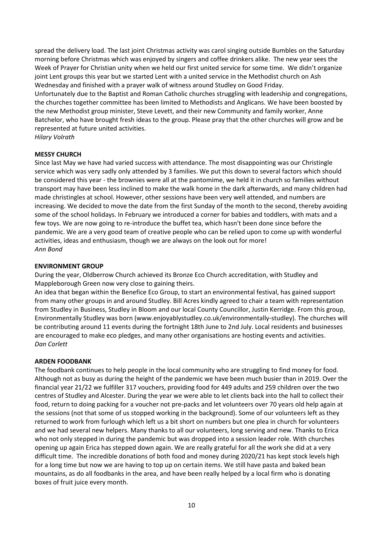spread the delivery load. The last joint Christmas activity was carol singing outside Bumbles on the Saturday morning before Christmas which was enjoyed by singers and coffee drinkers alike. The new year sees the Week of Prayer for Christian unity when we held our first united service for some time. We didn't organize joint Lent groups this year but we started Lent with a united service in the Methodist church on Ash Wednesday and finished with a prayer walk of witness around Studley on Good Friday. Unfortunately due to the Baptist and Roman Catholic churches struggling with leadership and congregations, the churches together committee has been limited to Methodists and Anglicans. We have been boosted by the new Methodist group minister, Steve Levett, and their new Community and family worker, Anne Batchelor, who have brought fresh ideas to the group. Please pray that the other churches will grow and be represented at future united activities. *Hilary Volrath*

**MESSY CHURCH** Since last May we have had varied success with attendance. The most disappointing was our Christingle service which was very sadly only attended by 3 families. We put this down to several factors which should be considered this year - the brownies were all at the pantomime, we held it in church so families without transport may have been less inclined to make the walk home in the dark afterwards, and many children had made christingles at school. However, other sessions have been very well attended, and numbers are increasing. We decided to move the date from the first Sunday of the month to the second, thereby avoiding some of the school holidays. In February we introduced a corner for babies and toddlers, with mats and a few toys. We are now going to re-introduce the buffet tea, which hasn't been done since before the pandemic. We are a very good team of creative people who can be relied upon to come up with wonderful activities, ideas and enthusiasm, though we are always on the look out for more! *Ann Bond* 

#### **ENVIRONMENT GROUP**

During the year, Oldberrow Church achieved its Bronze Eco Church accreditation, with Studley and Mappleborough Green now very close to gaining theirs.

An idea that began within the Benefice Eco Group, to start an environmental festival, has gained support from many other groups in and around Studley. Bill Acres kindly agreed to chair a team with representation from Studley in Business, Studley in Bloom and our local County Councillor, Justin Kerridge. From this group, Environmentally Studley was born (www.enjoyablystudley.co.uk/environmentally-studley). The churches will be contributing around 11 events during the fortnight 18th June to 2nd July. Local residents and businesses are encouraged to make eco pledges, and many other organisations are hosting events and activities. *Dan Corlett*

#### **ARDEN FOODBANK**

The foodbank continues to help people in the local community who are struggling to find money for food. Although not as busy as during the height of the pandemic we have been much busier than in 2019. Over the financial year 21/22 we fulfiller 317 vouchers, providing food for 449 adults and 259 children over the two centres of Studley and Alcester. During the year we were able to let clients back into the hall to collect their food, return to doing packing for a voucher not pre-packs and let volunteers over 70 years old help again at the sessions (not that some of us stopped working in the background). Some of our volunteers left as they returned to work from furlough which left us a bit short on numbers but one plea in church for volunteers and we had several new helpers. Many thanks to all our volunteers, long serving and new. Thanks to Erica who not only stepped in during the pandemic but was dropped into a session leader role. With churches opening up again Erica has stepped down again. We are really grateful for all the work she did at a very difficult time. The incredible donations of both food and money during 2020/21 has kept stock levels high for a long time but now we are having to top up on certain items. We still have pasta and baked bean mountains, as do all foodbanks in the area, and have been really helped by a local firm who is donating boxes of fruit juice every month.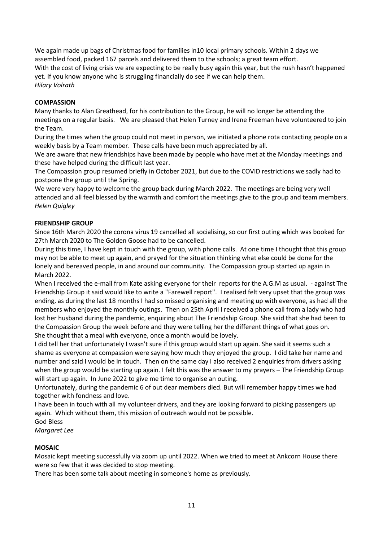We again made up bags of Christmas food for families in10 local primary schools. Within 2 days we assembled food, packed 167 parcels and delivered them to the schools; a great team effort. With the cost of living crisis we are expecting to be really busy again this year, but the rush hasn't happened yet. If you know anyone who is struggling financially do see if we can help them. *Hilary Volrath*

#### **COMPASSION**

Many thanks to Alan Greathead, for his contribution to the Group, he will no longer be attending the meetings on a regular basis. We are pleased that Helen Turney and Irene Freeman have volunteered to join the Team.

During the times when the group could not meet in person, we initiated a phone rota contacting people on a weekly basis by a Team member. These calls have been much appreciated by all.

We are aware that new friendships have been made by people who have met at the Monday meetings and these have helped during the difficult last year.

The Compassion group resumed briefly in October 2021, but due to the COVID restrictions we sadly had to postpone the group until the Spring.

We were very happy to welcome the group back during March 2022. The meetings are being very well attended and all feel blessed by the warmth and comfort the meetings give to the group and team members. *Helen Quigley*

#### **FRIENDSHIP GROUP**

Since 16th March 2020 the corona virus 19 cancelled all socialising, so our first outing which was booked for 27th March 2020 to The Golden Goose had to be cancelled.

During this time, I have kept in touch with the group, with phone calls. At one time I thought that this group may not be able to meet up again, and prayed for the situation thinking what else could be done for the lonely and bereaved people, in and around our community. The Compassion group started up again in March 2022.

When I received the e-mail from Kate asking everyone for their reports for the A.G.M as usual. - against The Friendship Group it said would like to write a "Farewell report". I realised felt very upset that the group was ending, as during the last 18 months I had so missed organising and meeting up with everyone, as had all the members who enjoyed the monthly outings. Then on 25th April I received a phone call from a lady who had lost her husband during the pandemic, enquiring about The Friendship Group. She said that she had been to the Compassion Group the week before and they were telling her the different things of what goes on. She thought that a meal with everyone, once a month would be lovely.

I did tell her that unfortunately I wasn't sure if this group would start up again. She said it seems such a shame as everyone at compassion were saying how much they enjoyed the group. I did take her name and number and said I would be in touch. Then on the same day I also received 2 enquiries from drivers asking when the group would be starting up again. I felt this was the answer to my prayers – The Friendship Group will start up again. In June 2022 to give me time to organise an outing.

Unfortunately, during the pandemic 6 of out dear members died. But will remember happy times we had together with fondness and love.

I have been in touch with all my volunteer drivers, and they are looking forward to picking passengers up again. Which without them, this mission of outreach would not be possible.

God Bless

*Margaret Lee*

#### **MOSAIC**

Mosaic kept meeting successfully via zoom up until 2022. When we tried to meet at Ankcorn House there were so few that it was decided to stop meeting.

There has been some talk about meeting in someone's home as previously.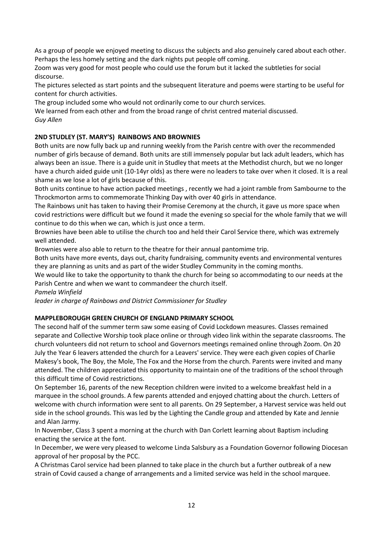As a group of people we enjoyed meeting to discuss the subjects and also genuinely cared about each other. Perhaps the less homely setting and the dark nights put people off coming.

Zoom was very good for most people who could use the forum but it lacked the subtleties for social discourse.

The pictures selected as start points and the subsequent literature and poems were starting to be useful for content for church activities.

The group included some who would not ordinarily come to our church services.

We learned from each other and from the broad range of christ centred material discussed. *Guy Allen*

### **2ND STUDLEY (ST. MARY'S) RAINBOWS AND BROWNIES**

Both units are now fully back up and running weekly from the Parish centre with over the recommended number of girls because of demand. Both units are still immensely popular but lack adult leaders, which has always been an issue. There is a guide unit in Studley that meets at the Methodist church, but we no longer have a church aided guide unit (10-14yr olds) as there were no leaders to take over when it closed. It is a real shame as we lose a lot of girls because of this.

Both units continue to have action packed meetings , recently we had a joint ramble from Sambourne to the Throckmorton arms to commemorate Thinking Day with over 40 girls in attendance.

The Rainbows unit has taken to having their Promise Ceremony at the church, it gave us more space when covid restrictions were difficult but we found it made the evening so special for the whole family that we will continue to do this when we can, which is just once a term.

Brownies have been able to utilise the church too and held their Carol Service there, which was extremely well attended.

Brownies were also able to return to the theatre for their annual pantomime trip.

Both units have more events, days out, charity fundraising, community events and environmental ventures they are planning as units and as part of the wider Studley Community in the coming months.

We would like to take the opportunity to thank the church for being so accommodating to our needs at the Parish Centre and when we want to commandeer the church itself.

*Pamela Winfield* 

*leader in charge of Rainbows and District Commissioner for Studley*

### **MAPPLEBOROUGH GREEN CHURCH OF ENGLAND PRIMARY SCHOOL**

The second half of the summer term saw some easing of Covid Lockdown measures. Classes remained separate and Collective Worship took place online or through video link within the separate classrooms. The church volunteers did not return to school and Governors meetings remained online through Zoom. On 20 July the Year 6 leavers attended the church for a Leavers' service. They were each given copies of Charlie Makesy's book, The Boy, the Mole, The Fox and the Horse from the church. Parents were invited and many attended. The children appreciated this opportunity to maintain one of the traditions of the school through this difficult time of Covid restrictions.

On September 16, parents of the new Reception children were invited to a welcome breakfast held in a marquee in the school grounds. A few parents attended and enjoyed chatting about the church. Letters of welcome with church information were sent to all parents. On 29 September, a Harvest service was held out side in the school grounds. This was led by the Lighting the Candle group and attended by Kate and Jennie and Alan Jarmy.

In November, Class 3 spent a morning at the church with Dan Corlett learning about Baptism including enacting the service at the font.

In December, we were very pleased to welcome Linda Salsbury as a Foundation Governor following Diocesan approval of her proposal by the PCC.

A Christmas Carol service had been planned to take place in the church but a further outbreak of a new strain of Covid caused a change of arrangements and a limited service was held in the school marquee.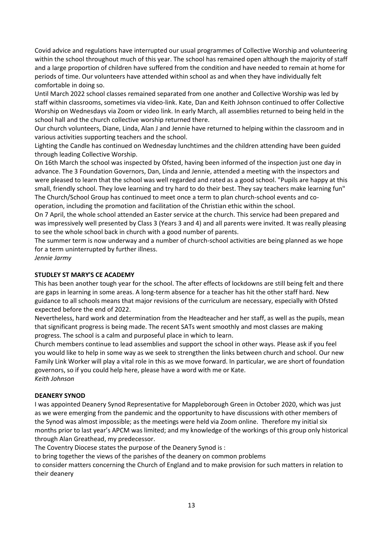Covid advice and regulations have interrupted our usual programmes of Collective Worship and volunteering within the school throughout much of this year. The school has remained open although the majority of staff and a large proportion of children have suffered from the condition and have needed to remain at home for periods of time. Our volunteers have attended within school as and when they have individually felt comfortable in doing so.

Until March 2022 school classes remained separated from one another and Collective Worship was led by staff within classrooms, sometimes via video-link. Kate, Dan and Keith Johnson continued to offer Collective Worship on Wednesdays via Zoom or video link. In early March, all assemblies returned to being held in the school hall and the church collective worship returned there.

Our church volunteers, Diane, Linda, Alan J and Jennie have returned to helping within the classroom and in various activities supporting teachers and the school.

Lighting the Candle has continued on Wednesday lunchtimes and the children attending have been guided through leading Collective Worship.

On 16th March the school was inspected by Ofsted, having been informed of the inspection just one day in advance. The 3 Foundation Governors, Dan, Linda and Jennie, attended a meeting with the inspectors and were pleased to learn that the school was well regarded and rated as a good school. "Pupils are happy at this small, friendly school. They love learning and try hard to do their best. They say teachers make learning fun" The Church/School Group has continued to meet once a term to plan church-school events and cooperation, including the promotion and facilitation of the Christian ethic within the school.

On 7 April, the whole school attended an Easter service at the church. This service had been prepared and was impressively well presented by Class 3 (Years 3 and 4) and all parents were invited. It was really pleasing to see the whole school back in church with a good number of parents.

The summer term is now underway and a number of church-school activities are being planned as we hope for a term uninterrupted by further illness.

*Jennie Jarmy*

#### **STUDLEY ST MARY'S CE ACADEMY**

This has been another tough year for the school. The after effects of lockdowns are still being felt and there are gaps in learning in some areas. A long-term absence for a teacher has hit the other staff hard. New guidance to all schools means that major revisions of the curriculum are necessary, especially with Ofsted expected before the end of 2022.

Nevertheless, hard work and determination from the Headteacher and her staff, as well as the pupils, mean that significant progress is being made. The recent SATs went smoothly and most classes are making progress. The school is a calm and purposeful place in which to learn.

Church members continue to lead assemblies and support the school in other ways. Please ask if you feel you would like to help in some way as we seek to strengthen the links between church and school. Our new Family Link Worker will play a vital role in this as we move forward. In particular, we are short of foundation governors, so if you could help here, please have a word with me or Kate. *Keith Johnson*

**DEANERY SYNOD**

I was appointed Deanery Synod Representative for Mappleborough Green in October 2020, which was just as we were emerging from the pandemic and the opportunity to have discussions with other members of the Synod was almost impossible; as the meetings were held via Zoom online. Therefore my initial six months prior to last year's APCM was limited; and my knowledge of the workings of this group only historical through Alan Greathead, my predecessor.

The Coventry Diocese states the purpose of the Deanery Synod is :

to bring together the views of the parishes of the deanery on common problems

to consider matters concerning the Church of England and to make provision for such matters in relation to their deanery